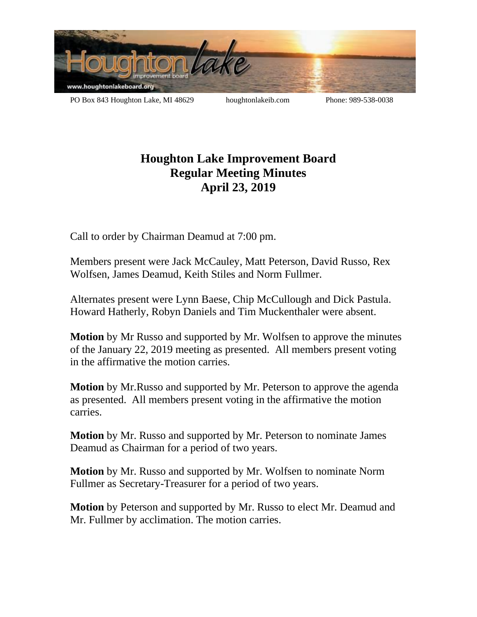

PO Box 843 Houghton Lake, MI 48629 houghtonlakeib.com Phone: 989-538-0038

## **Houghton Lake Improvement Board Regular Meeting Minutes April 23, 2019**

Call to order by Chairman Deamud at 7:00 pm.

Members present were Jack McCauley, Matt Peterson, David Russo, Rex Wolfsen, James Deamud, Keith Stiles and Norm Fullmer.

Alternates present were Lynn Baese, Chip McCullough and Dick Pastula. Howard Hatherly, Robyn Daniels and Tim Muckenthaler were absent.

**Motion** by Mr Russo and supported by Mr. Wolfsen to approve the minutes of the January 22, 2019 meeting as presented. All members present voting in the affirmative the motion carries.

**Motion** by Mr.Russo and supported by Mr. Peterson to approve the agenda as presented. All members present voting in the affirmative the motion carries.

**Motion** by Mr. Russo and supported by Mr. Peterson to nominate James Deamud as Chairman for a period of two years.

**Motion** by Mr. Russo and supported by Mr. Wolfsen to nominate Norm Fullmer as Secretary-Treasurer for a period of two years.

**Motion** by Peterson and supported by Mr. Russo to elect Mr. Deamud and Mr. Fullmer by acclimation. The motion carries.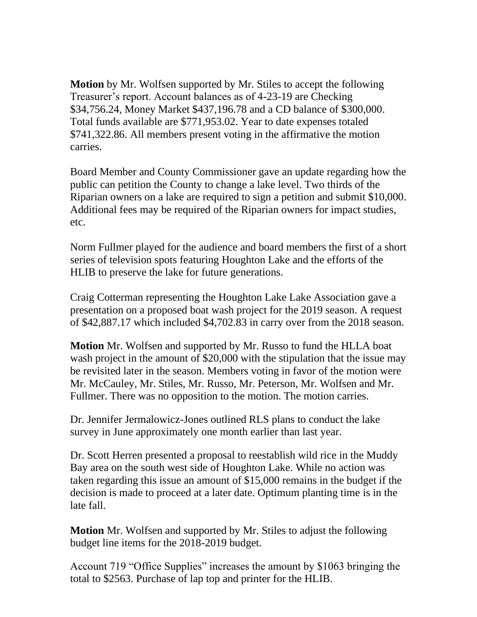**Motion** by Mr. Wolfsen supported by Mr. Stiles to accept the following Treasurer's report. Account balances as of 4-23-19 are Checking \$34,756.24, Money Market \$437,196.78 and a CD balance of \$300,000. Total funds available are \$771,953.02. Year to date expenses totaled \$741,322.86. All members present voting in the affirmative the motion carries.

Board Member and County Commissioner gave an update regarding how the public can petition the County to change a lake level. Two thirds of the Riparian owners on a lake are required to sign a petition and submit \$10,000. Additional fees may be required of the Riparian owners for impact studies, etc.

Norm Fullmer played for the audience and board members the first of a short series of television spots featuring Houghton Lake and the efforts of the HLIB to preserve the lake for future generations.

Craig Cotterman representing the Houghton Lake Lake Association gave a presentation on a proposed boat wash project for the 2019 season. A request of \$42,887.17 which included \$4,702.83 in carry over from the 2018 season.

**Motion** Mr. Wolfsen and supported by Mr. Russo to fund the HLLA boat wash project in the amount of \$20,000 with the stipulation that the issue may be revisited later in the season. Members voting in favor of the motion were Mr. McCauley, Mr. Stiles, Mr. Russo, Mr. Peterson, Mr. Wolfsen and Mr. Fullmer. There was no opposition to the motion. The motion carries.

Dr. Jennifer Jermalowicz-Jones outlined RLS plans to conduct the lake survey in June approximately one month earlier than last year.

Dr. Scott Herren presented a proposal to reestablish wild rice in the Muddy Bay area on the south west side of Houghton Lake. While no action was taken regarding this issue an amount of \$15,000 remains in the budget if the decision is made to proceed at a later date. Optimum planting time is in the late fall.

**Motion** Mr. Wolfsen and supported by Mr. Stiles to adjust the following budget line items for the 2018-2019 budget.

Account 719 "Office Supplies" increases the amount by \$1063 bringing the total to \$2563. Purchase of lap top and printer for the HLIB.